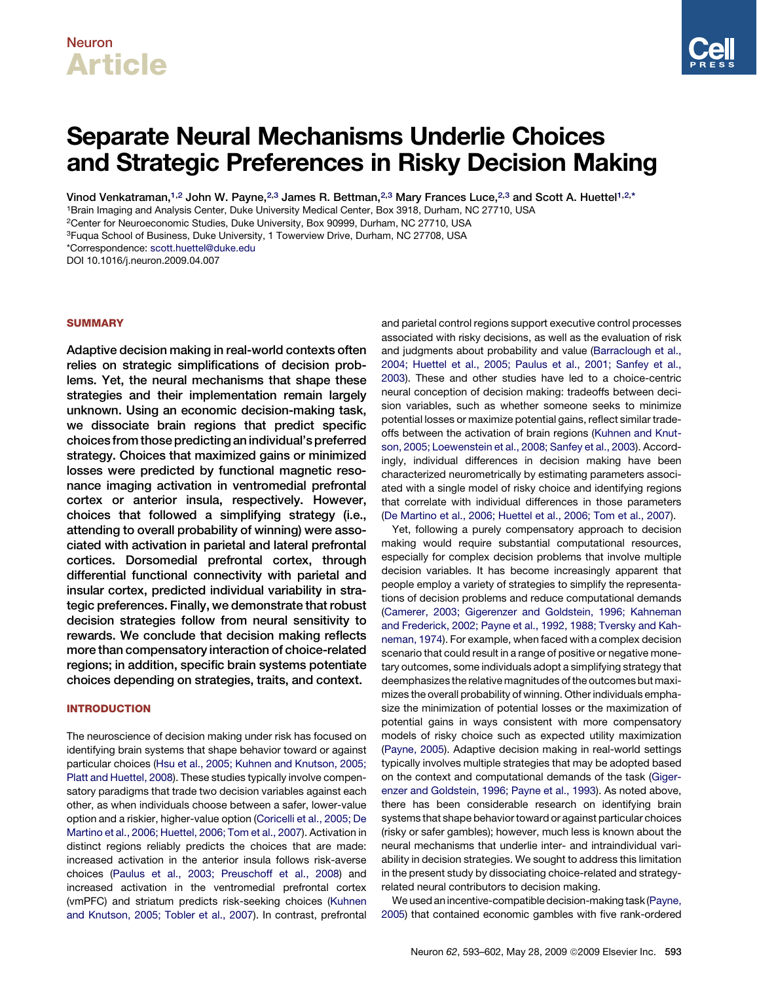## Neuron Article

# Separate Neural Mechanisms Underlie Choices and Strategic Preferences in Risky Decision Making

Vinod Venkatraman,<sup>1,2</sup> John W. Payne,<sup>2,3</sup> James R. Bettman,<sup>2,3</sup> Mary Frances Luce,<sup>2,3</sup> and Scott A. Huettel<sup>1,2,\*</sup>

1Brain Imaging and Analysis Center, Duke University Medical Center, Box 3918, Durham, NC 27710, USA

2Center for Neuroeconomic Studies, Duke University, Box 90999, Durham, NC 27710, USA

3Fuqua School of Business, Duke University, 1 Towerview Drive, Durham, NC 27708, USA

\*Correspondence: [scott.huettel@duke.edu](mailto:scott.huettel@duke.edu)

DOI 10.1016/j.neuron.2009.04.007

## **SUMMARY**

Adaptive decision making in real-world contexts often relies on strategic simplifications of decision problems. Yet, the neural mechanisms that shape these strategies and their implementation remain largely unknown. Using an economic decision-making task, we dissociate brain regions that predict specific choices from those predicting an individual's preferred strategy. Choices that maximized gains or minimized losses were predicted by functional magnetic resonance imaging activation in ventromedial prefrontal cortex or anterior insula, respectively. However, choices that followed a simplifying strategy (i.e., attending to overall probability of winning) were associated with activation in parietal and lateral prefrontal cortices. Dorsomedial prefrontal cortex, through differential functional connectivity with parietal and insular cortex, predicted individual variability in strategic preferences. Finally, we demonstrate that robust decision strategies follow from neural sensitivity to rewards. We conclude that decision making reflects more than compensatory interaction of choice-related regions; in addition, specific brain systems potentiate choices depending on strategies, traits, and context.

## INTRODUCTION

The neuroscience of decision making under risk has focused on identifying brain systems that shape behavior toward or against particular choices [\(Hsu et al., 2005; Kuhnen and Knutson, 2005;](#page-8-0) [Platt and Huettel, 2008\)](#page-8-0). These studies typically involve compensatory paradigms that trade two decision variables against each other, as when individuals choose between a safer, lower-value option and a riskier, higher-value option [\(Coricelli et al., 2005; De](#page-8-0) [Martino et al., 2006; Huettel, 2006; Tom et al., 2007](#page-8-0)). Activation in distinct regions reliably predicts the choices that are made: increased activation in the anterior insula follows risk-averse choices [\(Paulus et al., 2003; Preuschoff et al., 2008](#page-9-0)) and increased activation in the ventromedial prefrontal cortex (vmPFC) and striatum predicts risk-seeking choices [\(Kuhnen](#page-8-0) [and Knutson, 2005; Tobler et al., 2007\)](#page-8-0). In contrast, prefrontal and parietal control regions support executive control processes associated with risky decisions, as well as the evaluation of risk and judgments about probability and value [\(Barraclough et al.,](#page-8-0) [2004; Huettel et al., 2005; Paulus et al., 2001; Sanfey et al.,](#page-8-0) [2003\)](#page-8-0). These and other studies have led to a choice-centric neural conception of decision making: tradeoffs between decision variables, such as whether someone seeks to minimize potential losses or maximize potential gains, reflect similar tradeoffs between the activation of brain regions ([Kuhnen and Knut](#page-8-0)[son, 2005; Loewenstein et al., 2008; Sanfey et al., 2003](#page-8-0)). Accordingly, individual differences in decision making have been characterized neurometrically by estimating parameters associated with a single model of risky choice and identifying regions that correlate with individual differences in those parameters [\(De Martino et al., 2006; Huettel et al., 2006; Tom et al., 2007](#page-8-0)).

Yet, following a purely compensatory approach to decision making would require substantial computational resources, especially for complex decision problems that involve multiple decision variables. It has become increasingly apparent that people employ a variety of strategies to simplify the representations of decision problems and reduce computational demands [\(Camerer, 2003; Gigerenzer and Goldstein, 1996; Kahneman](#page-8-0) [and Frederick, 2002; Payne et al., 1992, 1988; Tversky and Kah](#page-8-0)[neman, 1974\)](#page-8-0). For example, when faced with a complex decision scenario that could result in a range of positive or negative monetary outcomes, some individuals adopt a simplifying strategy that deemphasizes the relative magnitudes of the outcomes but maximizes the overall probability of winning. Other individuals emphasize the minimization of potential losses or the maximization of potential gains in ways consistent with more compensatory models of risky choice such as expected utility maximization [\(Payne, 2005\)](#page-9-0). Adaptive decision making in real-world settings typically involves multiple strategies that may be adopted based on the context and computational demands of the task [\(Giger](#page-8-0)[enzer and Goldstein, 1996; Payne et al., 1993\)](#page-8-0). As noted above, there has been considerable research on identifying brain systems that shape behavior toward or against particular choices (risky or safer gambles); however, much less is known about the neural mechanisms that underlie inter- and intraindividual variability in decision strategies. We sought to address this limitation in the present study by dissociating choice-related and strategyrelated neural contributors to decision making.

We used an incentive-compatible decision-making task ([Payne,](#page-9-0) [2005\)](#page-9-0) that contained economic gambles with five rank-ordered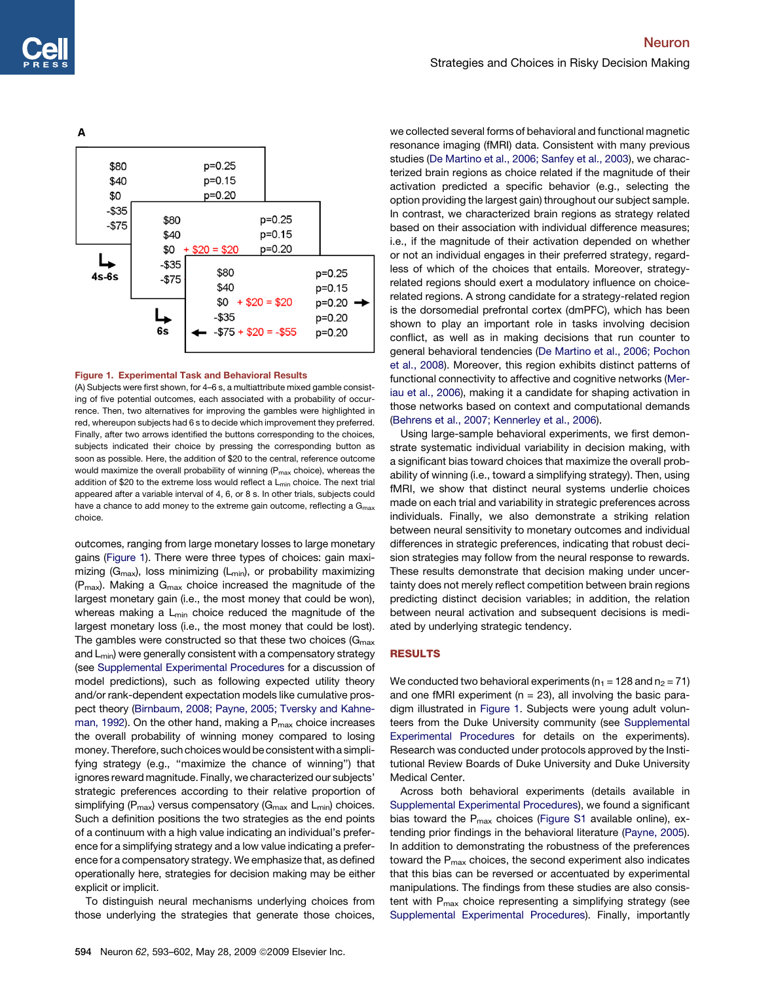<span id="page-1-0"></span>

## Figure 1. Experimental Task and Behavioral Results

(A) Subjects were first shown, for 4–6 s, a multiattribute mixed gamble consisting of five potential outcomes, each associated with a probability of occurrence. Then, two alternatives for improving the gambles were highlighted in red, whereupon subjects had 6 s to decide which improvement they preferred. Finally, after two arrows identified the buttons corresponding to the choices, subjects indicated their choice by pressing the corresponding button as soon as possible. Here, the addition of \$20 to the central, reference outcome would maximize the overall probability of winning (P<sub>max</sub> choice), whereas the addition of \$20 to the extreme loss would reflect a L<sub>min</sub> choice. The next trial appeared after a variable interval of 4, 6, or 8 s. In other trials, subjects could have a chance to add money to the extreme gain outcome, reflecting a  $G<sub>max</sub>$ choice.

outcomes, ranging from large monetary losses to large monetary gains (Figure 1). There were three types of choices: gain maximizing ( $G_{\text{max}}$ ), loss minimizing ( $L_{\text{min}}$ ), or probability maximizing  $(P<sub>max</sub>)$ . Making a  $G<sub>max</sub>$  choice increased the magnitude of the largest monetary gain (i.e., the most money that could be won), whereas making a  $L_{min}$  choice reduced the magnitude of the largest monetary loss (i.e., the most money that could be lost). The gambles were constructed so that these two choices ( $G_{\text{max}}$ ) and L<sub>min</sub>) were generally consistent with a compensatory strategy (see [Supplemental Experimental Procedures](#page-8-0) for a discussion of model predictions), such as following expected utility theory and/or rank-dependent expectation models like cumulative prospect theory [\(Birnbaum, 2008; Payne, 2005; Tversky and Kahne](#page-8-0)[man, 1992](#page-8-0)). On the other hand, making a  $P_{\text{max}}$  choice increases the overall probability of winning money compared to losing money. Therefore, such choices would be consistent with a simplifying strategy (e.g., ''maximize the chance of winning'') that ignores reward magnitude. Finally, we characterized our subjects' strategic preferences according to their relative proportion of simplifying ( $P_{max}$ ) versus compensatory ( $G_{max}$  and  $L_{min}$ ) choices. Such a definition positions the two strategies as the end points of a continuum with a high value indicating an individual's preference for a simplifying strategy and a low value indicating a preference for a compensatory strategy. We emphasize that, as defined operationally here, strategies for decision making may be either explicit or implicit.

To distinguish neural mechanisms underlying choices from those underlying the strategies that generate those choices,

we collected several forms of behavioral and functional magnetic resonance imaging (fMRI) data. Consistent with many previous studies [\(De Martino et al., 2006; Sanfey et al., 2003](#page-8-0)), we characterized brain regions as choice related if the magnitude of their activation predicted a specific behavior (e.g., selecting the option providing the largest gain) throughout our subject sample. In contrast, we characterized brain regions as strategy related based on their association with individual difference measures; i.e., if the magnitude of their activation depended on whether or not an individual engages in their preferred strategy, regardless of which of the choices that entails. Moreover, strategyrelated regions should exert a modulatory influence on choicerelated regions. A strong candidate for a strategy-related region is the dorsomedial prefrontal cortex (dmPFC), which has been shown to play an important role in tasks involving decision conflict, as well as in making decisions that run counter to general behavioral tendencies [\(De Martino et al., 2006; Pochon](#page-8-0) [et al., 2008\)](#page-8-0). Moreover, this region exhibits distinct patterns of functional connectivity to affective and cognitive networks ([Mer](#page-9-0)[iau et al., 2006\)](#page-9-0), making it a candidate for shaping activation in those networks based on context and computational demands [\(Behrens et al., 2007; Kennerley et al., 2006](#page-8-0)).

Using large-sample behavioral experiments, we first demonstrate systematic individual variability in decision making, with a significant bias toward choices that maximize the overall probability of winning (i.e., toward a simplifying strategy). Then, using fMRI, we show that distinct neural systems underlie choices made on each trial and variability in strategic preferences across individuals. Finally, we also demonstrate a striking relation between neural sensitivity to monetary outcomes and individual differences in strategic preferences, indicating that robust decision strategies may follow from the neural response to rewards. These results demonstrate that decision making under uncertainty does not merely reflect competition between brain regions predicting distinct decision variables; in addition, the relation between neural activation and subsequent decisions is mediated by underlying strategic tendency.

### RESULTS

We conducted two behavioral experiments ( $n_1$  = 128 and  $n_2$  = 71) and one fMRI experiment ( $n = 23$ ), all involving the basic paradigm illustrated in Figure 1. Subjects were young adult volunteers from the Duke University community (see [Supplemental](#page-8-0) [Experimental Procedures](#page-8-0) for details on the experiments). Research was conducted under protocols approved by the Institutional Review Boards of Duke University and Duke University Medical Center.

Across both behavioral experiments (details available in [Supplemental Experimental Procedures\)](#page-8-0), we found a significant bias toward the  $P_{max}$  choices [\(Figure S1](#page-8-0) available online), extending prior findings in the behavioral literature ([Payne, 2005](#page-9-0)). In addition to demonstrating the robustness of the preferences toward the  $P_{\text{max}}$  choices, the second experiment also indicates that this bias can be reversed or accentuated by experimental manipulations. The findings from these studies are also consistent with  $P_{max}$  choice representing a simplifying strategy (see [Supplemental Experimental Procedures](#page-8-0)). Finally, importantly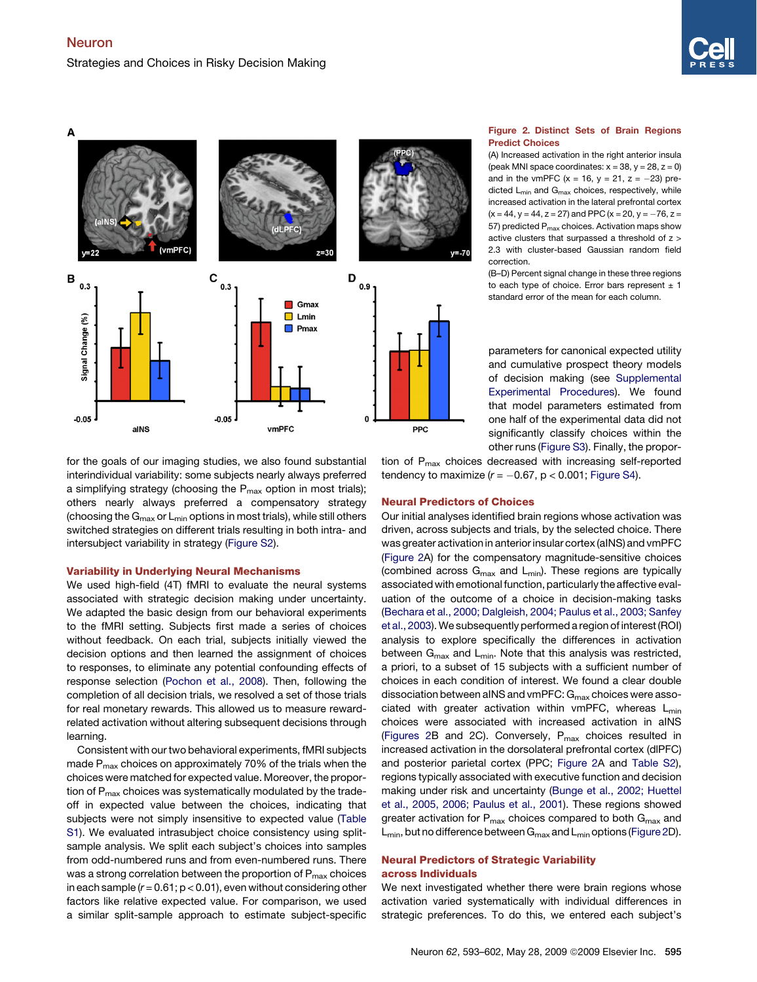



for the goals of our imaging studies, we also found substantial interindividual variability: some subjects nearly always preferred a simplifying strategy (choosing the  $P_{\text{max}}$  option in most trials); others nearly always preferred a compensatory strategy (choosing the  $G_{\text{max}}$  or  $L_{\text{min}}$  options in most trials), while still others switched strategies on different trials resulting in both intra- and intersubject variability in strategy ([Figure S2\)](#page-8-0).

## Variability in Underlying Neural Mechanisms

We used high-field (4T) fMRI to evaluate the neural systems associated with strategic decision making under uncertainty. We adapted the basic design from our behavioral experiments to the fMRI setting. Subjects first made a series of choices without feedback. On each trial, subjects initially viewed the decision options and then learned the assignment of choices to responses, to eliminate any potential confounding effects of response selection ([Pochon et al., 2008](#page-9-0)). Then, following the completion of all decision trials, we resolved a set of those trials for real monetary rewards. This allowed us to measure rewardrelated activation without altering subsequent decisions through learning.

Consistent with our two behavioral experiments, fMRI subjects made P<sub>max</sub> choices on approximately 70% of the trials when the choices were matched for expected value. Moreover, the proportion of  $P_{\text{max}}$  choices was systematically modulated by the tradeoff in expected value between the choices, indicating that subjects were not simply insensitive to expected value [\(Table](#page-8-0) [S1](#page-8-0)). We evaluated intrasubject choice consistency using splitsample analysis. We split each subject's choices into samples from odd-numbered runs and from even-numbered runs. There was a strong correlation between the proportion of  $P_{\text{max}}$  choices in each sample (*r* = 0.61; p < 0.01), even without considering other factors like relative expected value. For comparison, we used a similar split-sample approach to estimate subject-specific

## Figure 2. Distinct Sets of Brain Regions Predict Choices

(A) Increased activation in the right anterior insula (peak MNI space coordinates:  $x = 38$ ,  $y = 28$ ,  $z = 0$ ) and in the vmPFC (x = 16, y = 21, z =  $-23$ ) predicted  $L_{min}$  and  $G_{max}$  choices, respectively, while increased activation in the lateral prefrontal cortex  $(x = 44, y = 44, z = 27)$  and PPC (x = 20, y =  $-76$ , z = 57) predicted  $P_{max}$  choices. Activation maps show active clusters that surpassed a threshold of z > 2.3 with cluster-based Gaussian random field correction.

(B–D) Percent signal change in these three regions to each type of choice. Error bars represent  $\pm$  1 standard error of the mean for each column.

parameters for canonical expected utility and cumulative prospect theory models of decision making (see [Supplemental](#page-8-0) [Experimental Procedures\)](#page-8-0). We found that model parameters estimated from one half of the experimental data did not significantly classify choices within the other runs [\(Figure S3\)](#page-8-0). Finally, the propor-

tion of P<sub>max</sub> choices decreased with increasing self-reported tendency to maximize (*r* = -0.67, p < 0.001; [Figure S4\)](#page-8-0).

## Neural Predictors of Choices

Our initial analyses identified brain regions whose activation was driven, across subjects and trials, by the selected choice. There was greater activation in anterior insular cortex (aINS) and vmPFC (Figure 2A) for the compensatory magnitude-sensitive choices (combined across  $G_{max}$  and  $L_{min}$ ). These regions are typically associated with emotional function, particularly the affective evaluation of the outcome of a choice in decision-making tasks [\(Bechara et al., 2000; Dalgleish, 2004; Paulus et al., 2003; Sanfey](#page-8-0) [et al., 2003\)](#page-8-0).We subsequently performed a region of interest (ROI) analysis to explore specifically the differences in activation between  $G_{\text{max}}$  and  $L_{\text{min}}$ . Note that this analysis was restricted, a priori, to a subset of 15 subjects with a sufficient number of choices in each condition of interest. We found a clear double dissociation between aINS and vmPFC:  $G_{\text{max}}$  choices were associated with greater activation within vmPFC, whereas  $L_{min}$ choices were associated with increased activation in aINS (Figures 2B and 2C). Conversely,  $P_{max}$  choices resulted in increased activation in the dorsolateral prefrontal cortex (dlPFC) and posterior parietal cortex (PPC; Figure 2A and [Table S2\)](#page-8-0), regions typically associated with executive function and decision making under risk and uncertainty [\(Bunge et al., 2002; Huettel](#page-8-0) [et al., 2005, 2006; Paulus et al., 2001\)](#page-8-0). These regions showed greater activation for  $P_{max}$  choices compared to both  $G_{max}$  and  $L_{min}$ , but no difference between  $G_{max}$  and  $L_{min}$  options (Figure 2D).

## Neural Predictors of Strategic Variability across Individuals

We next investigated whether there were brain regions whose activation varied systematically with individual differences in strategic preferences. To do this, we entered each subject's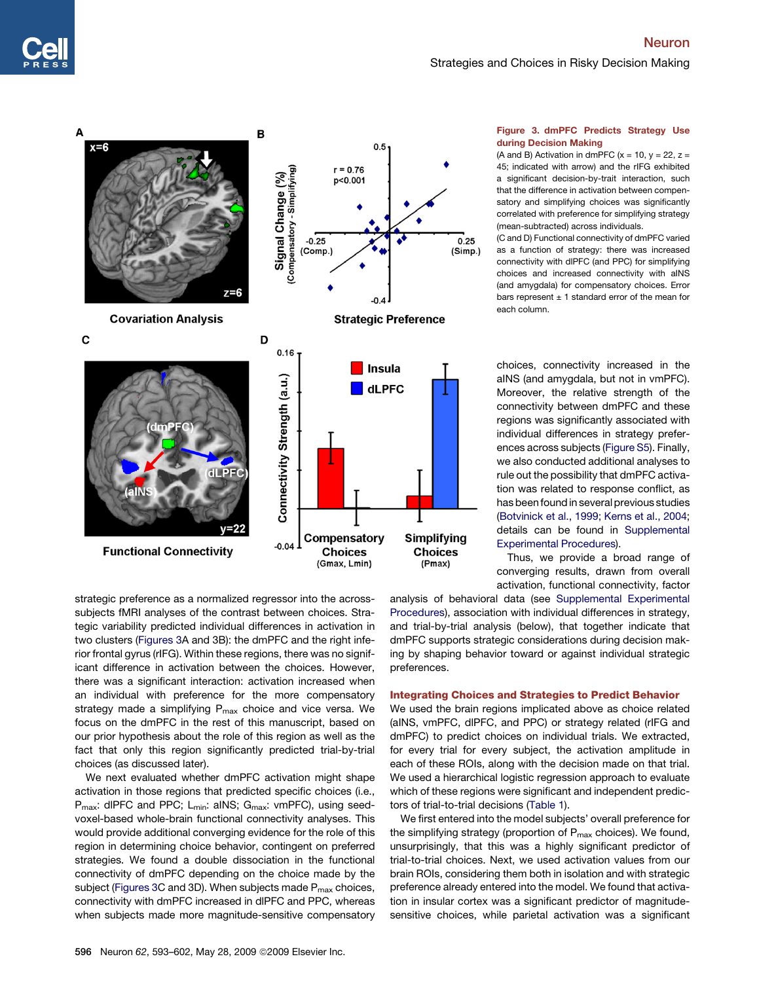## Neuron Strategies and Choices in Risky Decision Making



<span id="page-3-0"></span>

## Figure 3. dmPFC Predicts Strategy Use during Decision Making

(A and B) Activation in dmPFC  $(x = 10, y = 22, z =$ 45; indicated with arrow) and the rIFG exhibited a significant decision-by-trait interaction, such that the difference in activation between compensatory and simplifying choices was significantly correlated with preference for simplifying strategy (mean-subtracted) across individuals.

(C and D) Functional connectivity of dmPFC varied as a function of strategy: there was increased connectivity with dlPFC (and PPC) for simplifying choices and increased connectivity with aINS (and amygdala) for compensatory choices. Error bars represent  $\pm$  1 standard error of the mean for each column.

choices, connectivity increased in the aINS (and amygdala, but not in vmPFC). Moreover, the relative strength of the connectivity between dmPFC and these regions was significantly associated with individual differences in strategy preferences across subjects [\(Figure S5\)](#page-8-0). Finally, we also conducted additional analyses to rule out the possibility that dmPFC activation was related to response conflict, as has been found in several previous studies [\(Botvinick et al., 1999; Kerns et al., 2004;](#page-8-0) details can be found in [Supplemental](#page-8-0) [Experimental Procedures\)](#page-8-0).

Thus, we provide a broad range of converging results, drawn from overall activation, functional connectivity, factor

strategic preference as a normalized regressor into the acrosssubjects fMRI analyses of the contrast between choices. Strategic variability predicted individual differences in activation in two clusters (Figures 3A and 3B): the dmPFC and the right inferior frontal gyrus (rIFG). Within these regions, there was no significant difference in activation between the choices. However, there was a significant interaction: activation increased when an individual with preference for the more compensatory strategy made a simplifying  $P_{\text{max}}$  choice and vice versa. We focus on the dmPFC in the rest of this manuscript, based on our prior hypothesis about the role of this region as well as the fact that only this region significantly predicted trial-by-trial choices (as discussed later).

We next evaluated whether dmPFC activation might shape activation in those regions that predicted specific choices (i.e., P<sub>max</sub>: dlPFC and PPC; L<sub>min</sub>: aINS; G<sub>max</sub>: vmPFC), using seedvoxel-based whole-brain functional connectivity analyses. This would provide additional converging evidence for the role of this region in determining choice behavior, contingent on preferred strategies. We found a double dissociation in the functional connectivity of dmPFC depending on the choice made by the subject (Figures 3C and 3D). When subjects made P<sub>max</sub> choices, connectivity with dmPFC increased in dlPFC and PPC, whereas when subjects made more magnitude-sensitive compensatory

analysis of behavioral data (see [Supplemental Experimental](#page-8-0) [Procedures\)](#page-8-0), association with individual differences in strategy, and trial-by-trial analysis (below), that together indicate that dmPFC supports strategic considerations during decision making by shaping behavior toward or against individual strategic preferences.

## Integrating Choices and Strategies to Predict Behavior

We used the brain regions implicated above as choice related (aINS, vmPFC, dlPFC, and PPC) or strategy related (rIFG and dmPFC) to predict choices on individual trials. We extracted, for every trial for every subject, the activation amplitude in each of these ROIs, along with the decision made on that trial. We used a hierarchical logistic regression approach to evaluate which of these regions were significant and independent predictors of trial-to-trial decisions ([Table 1\)](#page-4-0).

We first entered into the model subjects' overall preference for the simplifying strategy (proportion of  $P_{\text{max}}$  choices). We found, unsurprisingly, that this was a highly significant predictor of trial-to-trial choices. Next, we used activation values from our brain ROIs, considering them both in isolation and with strategic preference already entered into the model. We found that activation in insular cortex was a significant predictor of magnitudesensitive choices, while parietal activation was a significant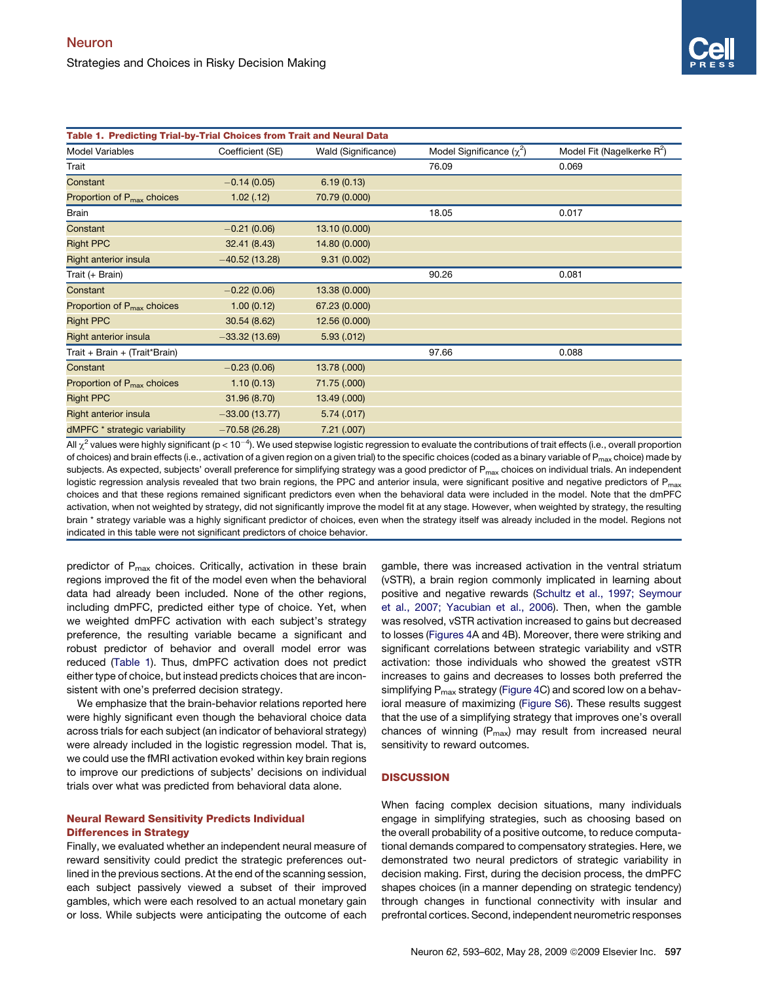<span id="page-4-0"></span>

| Table 1. Predicting Trial-by-Trial Choices from Trait and Neural Data |                  |                     |                               |                                        |
|-----------------------------------------------------------------------|------------------|---------------------|-------------------------------|----------------------------------------|
| Model Variables                                                       | Coefficient (SE) | Wald (Significance) | Model Significance $(\chi^2)$ | Model Fit (Nagelkerke R <sup>2</sup> ) |
| Trait                                                                 |                  |                     | 76.09                         | 0.069                                  |
| Constant                                                              | $-0.14(0.05)$    | 6.19(0.13)          |                               |                                        |
| Proportion of P <sub>max</sub> choices                                | 1.02(0.12)       | 70.79 (0.000)       |                               |                                        |
| Brain                                                                 |                  |                     | 18.05                         | 0.017                                  |
| Constant                                                              | $-0.21(0.06)$    | 13.10 (0.000)       |                               |                                        |
| <b>Right PPC</b>                                                      | 32.41 (8.43)     | 14.80 (0.000)       |                               |                                        |
| <b>Right anterior insula</b>                                          | $-40.52(13.28)$  | 9.31(0.002)         |                               |                                        |
| Trait (+ Brain)                                                       |                  |                     | 90.26                         | 0.081                                  |
| Constant                                                              | $-0.22(0.06)$    | 13.38 (0.000)       |                               |                                        |
| Proportion of $P_{\text{max}}$ choices                                | 1.00(0.12)       | 67.23 (0.000)       |                               |                                        |
| <b>Right PPC</b>                                                      | 30.54 (8.62)     | 12.56 (0.000)       |                               |                                        |
| <b>Right anterior insula</b>                                          | $-33.32(13.69)$  | 5.93(.012)          |                               |                                        |
| Trait + Brain + (Trait*Brain)                                         |                  |                     | 97.66                         | 0.088                                  |
| Constant                                                              | $-0.23(0.06)$    | 13.78 (.000)        |                               |                                        |
| Proportion of $P_{\text{max}}$ choices                                | 1.10(0.13)       | 71.75 (.000)        |                               |                                        |
| <b>Right PPC</b>                                                      | 31.96 (8.70)     | 13.49 (.000)        |                               |                                        |
| <b>Right anterior insula</b>                                          | $-33.00(13.77)$  | 5.74(.017)          |                               |                                        |
| dMPFC * strategic variability                                         | $-70.58(26.28)$  | 7.21(.007)          |                               |                                        |

All  $\chi^2$  values were highly significant (p < 10<sup>-4</sup>). We used stepwise logistic regression to evaluate the contributions of trait effects (i.e., overall proportion of choices) and brain effects (i.e., activation of a given region on a given trial) to the specific choices (coded as a binary variable of  $P_{\text{max}}$  choice) made by subjects. As expected, subjects' overall preference for simplifying strategy was a good predictor of P<sub>max</sub> choices on individual trials. An independent logistic regression analysis revealed that two brain regions, the PPC and anterior insula, were significant positive and negative predictors of P<sub>max</sub> choices and that these regions remained significant predictors even when the behavioral data were included in the model. Note that the dmPFC activation, when not weighted by strategy, did not significantly improve the model fit at any stage. However, when weighted by strategy, the resulting brain \* strategy variable was a highly significant predictor of choices, even when the strategy itself was already included in the model. Regions not indicated in this table were not significant predictors of choice behavior.

predictor of  $P_{max}$  choices. Critically, activation in these brain regions improved the fit of the model even when the behavioral data had already been included. None of the other regions, including dmPFC, predicted either type of choice. Yet, when we weighted dmPFC activation with each subject's strategy preference, the resulting variable became a significant and robust predictor of behavior and overall model error was reduced (Table 1). Thus, dmPFC activation does not predict either type of choice, but instead predicts choices that are inconsistent with one's preferred decision strategy.

We emphasize that the brain-behavior relations reported here were highly significant even though the behavioral choice data across trials for each subject (an indicator of behavioral strategy) were already included in the logistic regression model. That is, we could use the fMRI activation evoked within key brain regions to improve our predictions of subjects' decisions on individual trials over what was predicted from behavioral data alone.

## Neural Reward Sensitivity Predicts Individual Differences in Strategy

Finally, we evaluated whether an independent neural measure of reward sensitivity could predict the strategic preferences outlined in the previous sections. At the end of the scanning session, each subject passively viewed a subset of their improved gambles, which were each resolved to an actual monetary gain or loss. While subjects were anticipating the outcome of each gamble, there was increased activation in the ventral striatum (vSTR), a brain region commonly implicated in learning about positive and negative rewards [\(Schultz et al., 1997; Seymour](#page-9-0) [et al., 2007; Yacubian et al., 2006\)](#page-9-0). Then, when the gamble was resolved, vSTR activation increased to gains but decreased to losses ([Figures 4](#page-5-0)A and 4B). Moreover, there were striking and significant correlations between strategic variability and vSTR activation: those individuals who showed the greatest vSTR increases to gains and decreases to losses both preferred the simplifying  $P_{\text{max}}$  strategy [\(Figure 4](#page-5-0)C) and scored low on a behavioral measure of maximizing ([Figure S6](#page-8-0)). These results suggest that the use of a simplifying strategy that improves one's overall chances of winning  $(P_{max})$  may result from increased neural sensitivity to reward outcomes.

## **DISCUSSION**

When facing complex decision situations, many individuals engage in simplifying strategies, such as choosing based on the overall probability of a positive outcome, to reduce computational demands compared to compensatory strategies. Here, we demonstrated two neural predictors of strategic variability in decision making. First, during the decision process, the dmPFC shapes choices (in a manner depending on strategic tendency) through changes in functional connectivity with insular and prefrontal cortices. Second, independent neurometric responses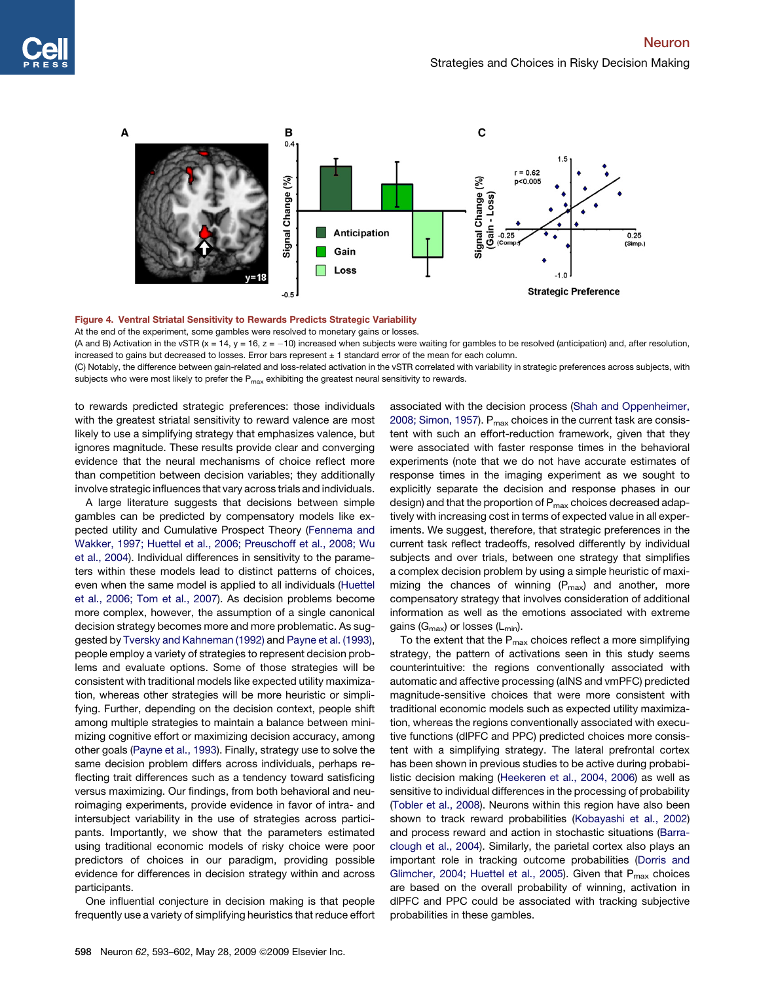<span id="page-5-0"></span>

Figure 4. Ventral Striatal Sensitivity to Rewards Predicts Strategic Variability

At the end of the experiment, some gambles were resolved to monetary gains or losses.

(A and B) Activation in the vSTR (x = 14, y = 16, z = -10) increased when subjects were waiting for gambles to be resolved (anticipation) and, after resolution, increased to gains but decreased to losses. Error bars represent  $\pm$  1 standard error of the mean for each column.

(C) Notably, the difference between gain-related and loss-related activation in the vSTR correlated with variability in strategic preferences across subjects, with subjects who were most likely to prefer the  $P_{\text{max}}$  exhibiting the greatest neural sensitivity to rewards.

to rewards predicted strategic preferences: those individuals with the greatest striatal sensitivity to reward valence are most likely to use a simplifying strategy that emphasizes valence, but ignores magnitude. These results provide clear and converging evidence that the neural mechanisms of choice reflect more than competition between decision variables; they additionally involve strategic influences that vary across trials and individuals.

A large literature suggests that decisions between simple gambles can be predicted by compensatory models like expected utility and Cumulative Prospect Theory ([Fennema and](#page-8-0) [Wakker, 1997; Huettel et al., 2006; Preuschoff et al., 2008; Wu](#page-8-0) [et al., 2004](#page-8-0)). Individual differences in sensitivity to the parameters within these models lead to distinct patterns of choices, even when the same model is applied to all individuals ([Huettel](#page-8-0) [et al., 2006; Tom et al., 2007](#page-8-0)). As decision problems become more complex, however, the assumption of a single canonical decision strategy becomes more and more problematic. As suggested by [Tversky and Kahneman \(1992\)](#page-9-0) and [Payne et al. \(1993\),](#page-9-0) people employ a variety of strategies to represent decision problems and evaluate options. Some of those strategies will be consistent with traditional models like expected utility maximization, whereas other strategies will be more heuristic or simplifying. Further, depending on the decision context, people shift among multiple strategies to maintain a balance between minimizing cognitive effort or maximizing decision accuracy, among other goals ([Payne et al., 1993\)](#page-9-0). Finally, strategy use to solve the same decision problem differs across individuals, perhaps reflecting trait differences such as a tendency toward satisficing versus maximizing. Our findings, from both behavioral and neuroimaging experiments, provide evidence in favor of intra- and intersubject variability in the use of strategies across participants. Importantly, we show that the parameters estimated using traditional economic models of risky choice were poor predictors of choices in our paradigm, providing possible evidence for differences in decision strategy within and across participants.

One influential conjecture in decision making is that people frequently use a variety of simplifying heuristics that reduce effort associated with the decision process [\(Shah and Oppenheimer,](#page-9-0) [2008; Simon, 1957](#page-9-0)).  $P_{max}$  choices in the current task are consistent with such an effort-reduction framework, given that they were associated with faster response times in the behavioral experiments (note that we do not have accurate estimates of response times in the imaging experiment as we sought to explicitly separate the decision and response phases in our design) and that the proportion of  $P_{max}$  choices decreased adaptively with increasing cost in terms of expected value in all experiments. We suggest, therefore, that strategic preferences in the current task reflect tradeoffs, resolved differently by individual subjects and over trials, between one strategy that simplifies a complex decision problem by using a simple heuristic of maximizing the chances of winning  $(P_{max})$  and another, more compensatory strategy that involves consideration of additional information as well as the emotions associated with extreme gains ( $G_{\text{max}}$ ) or losses ( $L_{\text{min}}$ ).

To the extent that the  $P_{max}$  choices reflect a more simplifying strategy, the pattern of activations seen in this study seems counterintuitive: the regions conventionally associated with automatic and affective processing (aINS and vmPFC) predicted magnitude-sensitive choices that were more consistent with traditional economic models such as expected utility maximization, whereas the regions conventionally associated with executive functions (dlPFC and PPC) predicted choices more consistent with a simplifying strategy. The lateral prefrontal cortex has been shown in previous studies to be active during probabilistic decision making ([Heekeren et al., 2004, 2006\)](#page-8-0) as well as sensitive to individual differences in the processing of probability [\(Tobler et al., 2008](#page-9-0)). Neurons within this region have also been shown to track reward probabilities [\(Kobayashi et al., 2002\)](#page-8-0) and process reward and action in stochastic situations [\(Barra](#page-8-0)[clough et al., 2004](#page-8-0)). Similarly, the parietal cortex also plays an important role in tracking outcome probabilities [\(Dorris and](#page-8-0) [Glimcher, 2004; Huettel et al., 2005\)](#page-8-0). Given that  $P_{max}$  choices are based on the overall probability of winning, activation in dlPFC and PPC could be associated with tracking subjective probabilities in these gambles.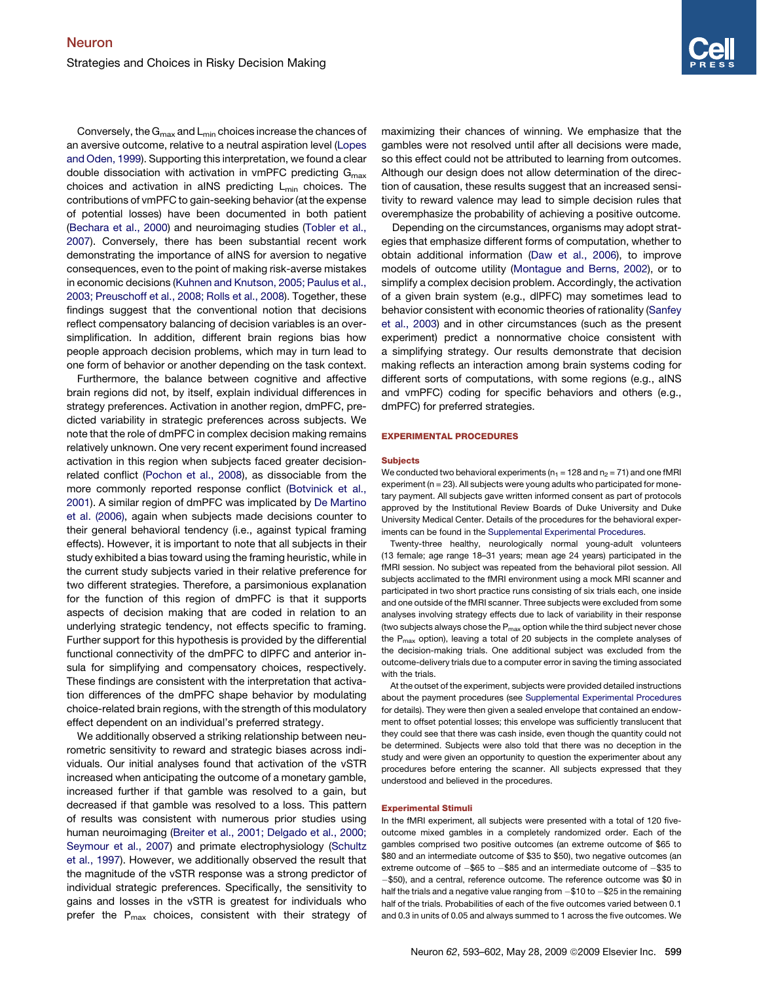Conversely, the  $G_{max}$  and  $L_{min}$  choices increase the chances of an aversive outcome, relative to a neutral aspiration level ([Lopes](#page-8-0) [and Oden, 1999](#page-8-0)). Supporting this interpretation, we found a clear double dissociation with activation in vmPFC predicting  $G_{\text{max}}$ choices and activation in aINS predicting  $L_{min}$  choices. The contributions of vmPFC to gain-seeking behavior (at the expense of potential losses) have been documented in both patient [\(Bechara et al., 2000\)](#page-8-0) and neuroimaging studies [\(Tobler et al.,](#page-9-0) [2007\)](#page-9-0). Conversely, there has been substantial recent work demonstrating the importance of aINS for aversion to negative consequences, even to the point of making risk-averse mistakes in economic decisions [\(Kuhnen and Knutson, 2005; Paulus et al.,](#page-8-0) [2003; Preuschoff et al., 2008; Rolls et al., 2008\)](#page-8-0). Together, these findings suggest that the conventional notion that decisions reflect compensatory balancing of decision variables is an oversimplification. In addition, different brain regions bias how people approach decision problems, which may in turn lead to one form of behavior or another depending on the task context.

Furthermore, the balance between cognitive and affective brain regions did not, by itself, explain individual differences in strategy preferences. Activation in another region, dmPFC, predicted variability in strategic preferences across subjects. We note that the role of dmPFC in complex decision making remains relatively unknown. One very recent experiment found increased activation in this region when subjects faced greater decisionrelated conflict [\(Pochon et al., 2008\)](#page-9-0), as dissociable from the more commonly reported response conflict [\(Botvinick et al.,](#page-8-0) [2001\)](#page-8-0). A similar region of dmPFC was implicated by [De Martino](#page-8-0) [et al. \(2006\)](#page-8-0), again when subjects made decisions counter to their general behavioral tendency (i.e., against typical framing effects). However, it is important to note that all subjects in their study exhibited a bias toward using the framing heuristic, while in the current study subjects varied in their relative preference for two different strategies. Therefore, a parsimonious explanation for the function of this region of dmPFC is that it supports aspects of decision making that are coded in relation to an underlying strategic tendency, not effects specific to framing. Further support for this hypothesis is provided by the differential functional connectivity of the dmPFC to dlPFC and anterior insula for simplifying and compensatory choices, respectively. These findings are consistent with the interpretation that activation differences of the dmPFC shape behavior by modulating choice-related brain regions, with the strength of this modulatory effect dependent on an individual's preferred strategy.

We additionally observed a striking relationship between neurometric sensitivity to reward and strategic biases across individuals. Our initial analyses found that activation of the vSTR increased when anticipating the outcome of a monetary gamble, increased further if that gamble was resolved to a gain, but decreased if that gamble was resolved to a loss. This pattern of results was consistent with numerous prior studies using human neuroimaging ([Breiter et al., 2001; Delgado et al., 2000;](#page-8-0) [Seymour et al., 2007](#page-8-0)) and primate electrophysiology [\(Schultz](#page-9-0) [et al., 1997\)](#page-9-0). However, we additionally observed the result that the magnitude of the vSTR response was a strong predictor of individual strategic preferences. Specifically, the sensitivity to gains and losses in the vSTR is greatest for individuals who prefer the  $P_{\text{max}}$  choices, consistent with their strategy of maximizing their chances of winning. We emphasize that the gambles were not resolved until after all decisions were made, so this effect could not be attributed to learning from outcomes. Although our design does not allow determination of the direction of causation, these results suggest that an increased sensitivity to reward valence may lead to simple decision rules that overemphasize the probability of achieving a positive outcome.

Depending on the circumstances, organisms may adopt strategies that emphasize different forms of computation, whether to obtain additional information [\(Daw et al., 2006](#page-8-0)), to improve models of outcome utility [\(Montague and Berns, 2002](#page-9-0)), or to simplify a complex decision problem. Accordingly, the activation of a given brain system (e.g., dlPFC) may sometimes lead to behavior consistent with economic theories of rationality [\(Sanfey](#page-9-0) [et al., 2003](#page-9-0)) and in other circumstances (such as the present experiment) predict a nonnormative choice consistent with a simplifying strategy. Our results demonstrate that decision making reflects an interaction among brain systems coding for different sorts of computations, with some regions (e.g., aINS and vmPFC) coding for specific behaviors and others (e.g., dmPFC) for preferred strategies.

#### EXPERIMENTAL PROCEDURES

#### **Subjects**

We conducted two behavioral experiments ( $n_1$  = 128 and  $n_2$  = 71) and one fMRI experiment (n = 23). All subjects were young adults who participated for monetary payment. All subjects gave written informed consent as part of protocols approved by the Institutional Review Boards of Duke University and Duke University Medical Center. Details of the procedures for the behavioral experiments can be found in the [Supplemental Experimental Procedures.](#page-8-0)

Twenty-three healthy, neurologically normal young-adult volunteers (13 female; age range 18–31 years; mean age 24 years) participated in the fMRI session. No subject was repeated from the behavioral pilot session. All subjects acclimated to the fMRI environment using a mock MRI scanner and participated in two short practice runs consisting of six trials each, one inside and one outside of the fMRI scanner. Three subjects were excluded from some analyses involving strategy effects due to lack of variability in their response (two subjects always chose the  $P_{max}$  option while the third subject never chose the  $P_{\text{max}}$  option), leaving a total of 20 subjects in the complete analyses of the decision-making trials. One additional subject was excluded from the outcome-delivery trials due to a computer error in saving the timing associated with the trials.

At the outset of the experiment, subjects were provided detailed instructions about the payment procedures (see [Supplemental Experimental Procedures](#page-8-0) for details). They were then given a sealed envelope that contained an endowment to offset potential losses; this envelope was sufficiently translucent that they could see that there was cash inside, even though the quantity could not be determined. Subjects were also told that there was no deception in the study and were given an opportunity to question the experimenter about any procedures before entering the scanner. All subjects expressed that they understood and believed in the procedures.

#### Experimental Stimuli

In the fMRI experiment, all subjects were presented with a total of 120 fiveoutcome mixed gambles in a completely randomized order. Each of the gambles comprised two positive outcomes (an extreme outcome of \$65 to \$80 and an intermediate outcome of \$35 to \$50), two negative outcomes (an extreme outcome of  $-\$$ 65 to  $-\$$ 85 and an intermediate outcome of  $-\$$ 35 to -\$50), and a central, reference outcome. The reference outcome was \$0 in half the trials and a negative value ranging from -\$10 to -\$25 in the remaining half of the trials. Probabilities of each of the five outcomes varied between 0.1 and 0.3 in units of 0.05 and always summed to 1 across the five outcomes. We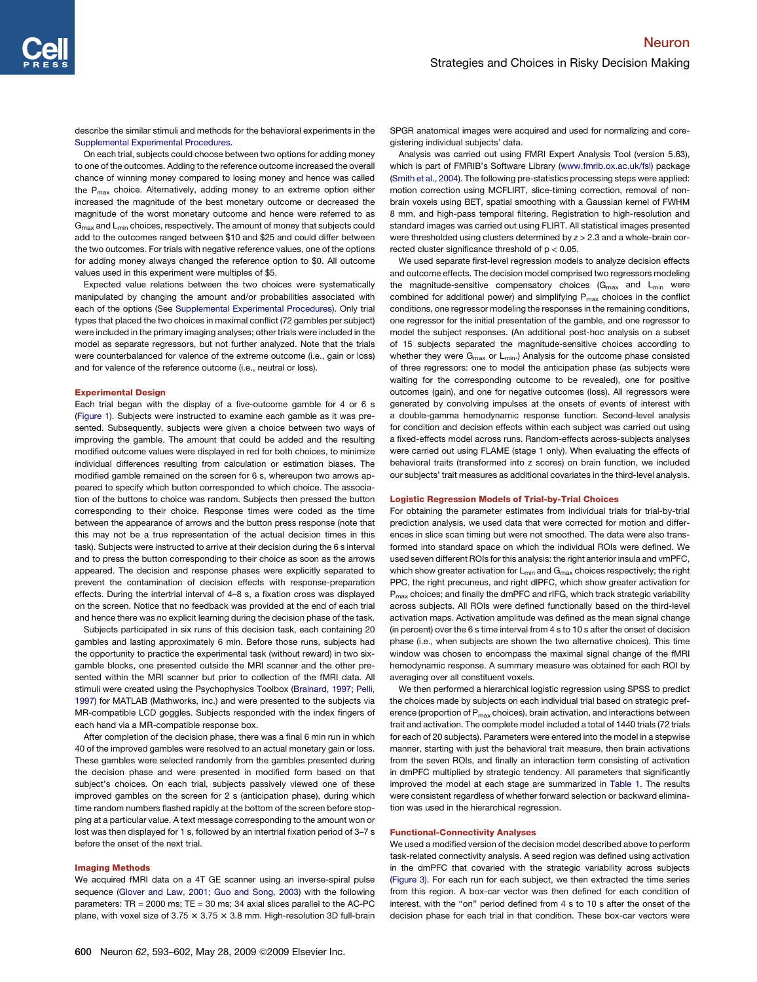describe the similar stimuli and methods for the behavioral experiments in the [Supplemental Experimental Procedures.](#page-8-0)

On each trial, subjects could choose between two options for adding money to one of the outcomes. Adding to the reference outcome increased the overall chance of winning money compared to losing money and hence was called the  $P_{\text{max}}$  choice. Alternatively, adding money to an extreme option either increased the magnitude of the best monetary outcome or decreased the magnitude of the worst monetary outcome and hence were referred to as G<sub>max</sub> and L<sub>min</sub> choices, respectively. The amount of money that subjects could add to the outcomes ranged between \$10 and \$25 and could differ between the two outcomes. For trials with negative reference values, one of the options for adding money always changed the reference option to \$0. All outcome values used in this experiment were multiples of \$5.

Expected value relations between the two choices were systematically manipulated by changing the amount and/or probabilities associated with each of the options (See [Supplemental Experimental Procedures\)](#page-8-0). Only trial types that placed the two choices in maximal conflict (72 gambles per subject) were included in the primary imaging analyses; other trials were included in the model as separate regressors, but not further analyzed. Note that the trials were counterbalanced for valence of the extreme outcome (i.e., gain or loss) and for valence of the reference outcome (i.e., neutral or loss).

#### Experimental Design

Each trial began with the display of a five-outcome gamble for 4 or 6 s ([Figure 1](#page-1-0)). Subjects were instructed to examine each gamble as it was presented. Subsequently, subjects were given a choice between two ways of improving the gamble. The amount that could be added and the resulting modified outcome values were displayed in red for both choices, to minimize individual differences resulting from calculation or estimation biases. The modified gamble remained on the screen for 6 s, whereupon two arrows appeared to specify which button corresponded to which choice. The association of the buttons to choice was random. Subjects then pressed the button corresponding to their choice. Response times were coded as the time between the appearance of arrows and the button press response (note that this may not be a true representation of the actual decision times in this task). Subjects were instructed to arrive at their decision during the 6 s interval and to press the button corresponding to their choice as soon as the arrows appeared. The decision and response phases were explicitly separated to prevent the contamination of decision effects with response-preparation effects. During the intertrial interval of 4–8 s, a fixation cross was displayed on the screen. Notice that no feedback was provided at the end of each trial and hence there was no explicit learning during the decision phase of the task.

Subjects participated in six runs of this decision task, each containing 20 gambles and lasting approximately 6 min. Before those runs, subjects had the opportunity to practice the experimental task (without reward) in two sixgamble blocks, one presented outside the MRI scanner and the other presented within the MRI scanner but prior to collection of the fMRI data. All stimuli were created using the Psychophysics Toolbox ([Brainard, 1997; Pelli,](#page-8-0) [1997](#page-8-0)) for MATLAB (Mathworks, inc.) and were presented to the subjects via MR-compatible LCD goggles. Subjects responded with the index fingers of each hand via a MR-compatible response box.

After completion of the decision phase, there was a final 6 min run in which 40 of the improved gambles were resolved to an actual monetary gain or loss. These gambles were selected randomly from the gambles presented during the decision phase and were presented in modified form based on that subject's choices. On each trial, subjects passively viewed one of these improved gambles on the screen for 2 s (anticipation phase), during which time random numbers flashed rapidly at the bottom of the screen before stopping at a particular value. A text message corresponding to the amount won or lost was then displayed for 1 s, followed by an intertrial fixation period of 3–7 s before the onset of the next trial.

## Imaging Methods

We acquired fMRI data on a 4T GE scanner using an inverse-spiral pulse sequence ([Glover and Law, 2001; Guo and Song, 2003](#page-8-0)) with the following parameters:  $TR = 2000$  ms;  $TE = 30$  ms; 34 axial slices parallel to the AC-PC plane, with voxel size of 3.75  $\times$  3.75  $\times$  3.8 mm. High-resolution 3D full-brain

Analysis was carried out using FMRI Expert Analysis Tool (version 5.63), which is part of FMRIB's Software Library ([www.fmrib.ox.ac.uk/fsl\)](http://www.fmrib.ox.ac.uk/fsl) package ([Smith et al., 2004](#page-9-0)). The following pre-statistics processing steps were applied: motion correction using MCFLIRT, slice-timing correction, removal of nonbrain voxels using BET, spatial smoothing with a Gaussian kernel of FWHM 8 mm, and high-pass temporal filtering. Registration to high-resolution and standard images was carried out using FLIRT. All statistical images presented were thresholded using clusters determined by *z* > 2.3 and a whole-brain corrected cluster significance threshold of p < 0.05.

We used separate first-level regression models to analyze decision effects and outcome effects. The decision model comprised two regressors modeling the magnitude-sensitive compensatory choices  $(G<sub>max</sub>$  and  $L<sub>min</sub>$  were combined for additional power) and simplifying  $P_{\text{max}}$  choices in the conflict conditions, one regressor modeling the responses in the remaining conditions, one regressor for the initial presentation of the gamble, and one regressor to model the subject responses. (An additional post-hoc analysis on a subset of 15 subjects separated the magnitude-sensitive choices according to whether they were  $G_{\text{max}}$  or  $L_{\text{min}}$ .) Analysis for the outcome phase consisted of three regressors: one to model the anticipation phase (as subjects were waiting for the corresponding outcome to be revealed), one for positive outcomes (gain), and one for negative outcomes (loss). All regressors were generated by convolving impulses at the onsets of events of interest with a double-gamma hemodynamic response function. Second-level analysis for condition and decision effects within each subject was carried out using a fixed-effects model across runs. Random-effects across-subjects analyses were carried out using FLAME (stage 1 only). When evaluating the effects of behavioral traits (transformed into z scores) on brain function, we included our subjects' trait measures as additional covariates in the third-level analysis.

#### Logistic Regression Models of Trial-by-Trial Choices

For obtaining the parameter estimates from individual trials for trial-by-trial prediction analysis, we used data that were corrected for motion and differences in slice scan timing but were not smoothed. The data were also transformed into standard space on which the individual ROIs were defined. We used seven different ROIs for this analysis: the right anterior insula and vmPFC, which show greater activation for  $L_{min}$  and  $G_{max}$  choices respectively; the right PPC, the right precuneus, and right dlPFC, which show greater activation for P<sub>max</sub> choices; and finally the dmPFC and rIFG, which track strategic variability across subjects. All ROIs were defined functionally based on the third-level activation maps. Activation amplitude was defined as the mean signal change (in percent) over the 6 s time interval from 4 s to 10 s after the onset of decision phase (i.e., when subjects are shown the two alternative choices). This time window was chosen to encompass the maximal signal change of the fMRI hemodynamic response. A summary measure was obtained for each ROI by averaging over all constituent voxels.

We then performed a hierarchical logistic regression using SPSS to predict the choices made by subjects on each individual trial based on strategic preference (proportion of  $P_{max}$  choices), brain activation, and interactions between trait and activation. The complete model included a total of 1440 trials (72 trials for each of 20 subjects). Parameters were entered into the model in a stepwise manner, starting with just the behavioral trait measure, then brain activations from the seven ROIs, and finally an interaction term consisting of activation in dmPFC multiplied by strategic tendency. All parameters that significantly improved the model at each stage are summarized in [Table 1](#page-4-0). The results were consistent regardless of whether forward selection or backward elimination was used in the hierarchical regression.

## Functional-Connectivity Analyses

We used a modified version of the decision model described above to perform task-related connectivity analysis. A seed region was defined using activation in the dmPFC that covaried with the strategic variability across subjects ([Figure 3](#page-3-0)). For each run for each subject, we then extracted the time series from this region. A box-car vector was then defined for each condition of interest, with the "on" period defined from 4 s to 10 s after the onset of the decision phase for each trial in that condition. These box-car vectors were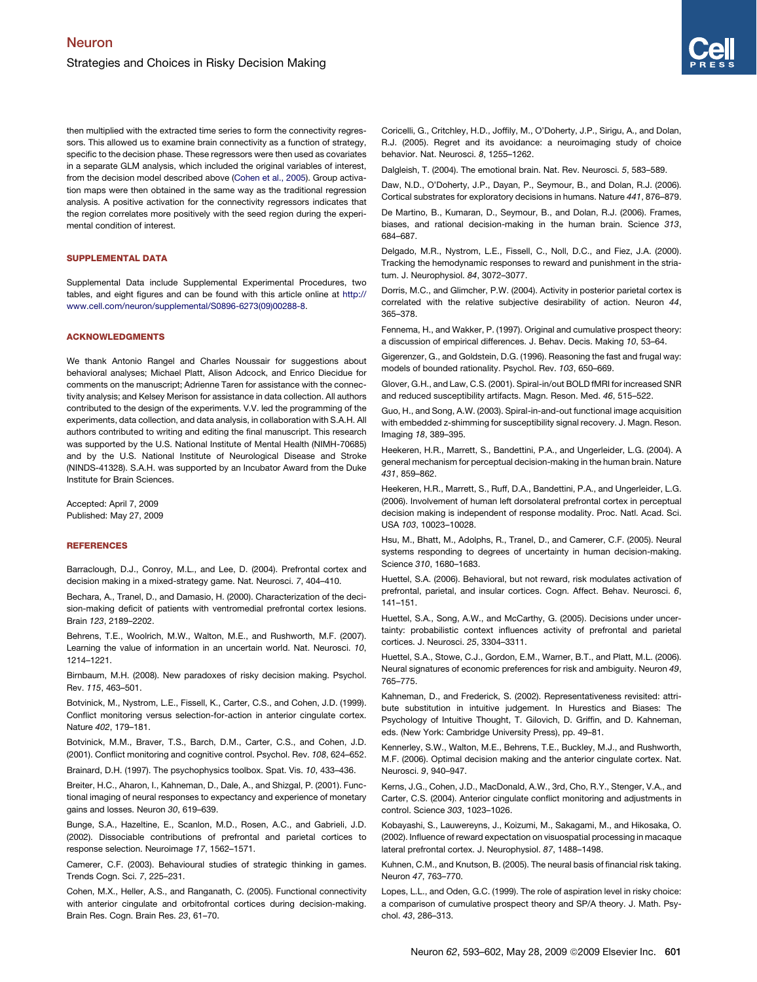<span id="page-8-0"></span>then multiplied with the extracted time series to form the connectivity regressors. This allowed us to examine brain connectivity as a function of strategy, specific to the decision phase. These regressors were then used as covariates in a separate GLM analysis, which included the original variables of interest, from the decision model described above (Cohen et al., 2005). Group activation maps were then obtained in the same way as the traditional regression analysis. A positive activation for the connectivity regressors indicates that the region correlates more positively with the seed region during the experimental condition of interest.

## SUPPLEMENTAL DATA

Supplemental Data include Supplemental Experimental Procedures, two tables, and eight figures and can be found with this article online at [http://](http://www.cell.com/neuron/supplemental/S0896-6273(09)00288-8) [www.cell.com/neuron/supplemental/S0896-6273\(09\)00288-8](http://www.cell.com/neuron/supplemental/S0896-6273(09)00288-8).

## ACKNOWLEDGMENTS

We thank Antonio Rangel and Charles Noussair for suggestions about behavioral analyses; Michael Platt, Alison Adcock, and Enrico Diecidue for comments on the manuscript; Adrienne Taren for assistance with the connectivity analysis; and Kelsey Merison for assistance in data collection. All authors contributed to the design of the experiments. V.V. led the programming of the experiments, data collection, and data analysis, in collaboration with S.A.H. All authors contributed to writing and editing the final manuscript. This research was supported by the U.S. National Institute of Mental Health (NIMH-70685) and by the U.S. National Institute of Neurological Disease and Stroke (NINDS-41328). S.A.H. was supported by an Incubator Award from the Duke Institute for Brain Sciences.

Accepted: April 7, 2009 Published: May 27, 2009

## **REFERENCES**

Barraclough, D.J., Conroy, M.L., and Lee, D. (2004). Prefrontal cortex and decision making in a mixed-strategy game. Nat. Neurosci. *7*, 404–410.

Bechara, A., Tranel, D., and Damasio, H. (2000). Characterization of the decision-making deficit of patients with ventromedial prefrontal cortex lesions. Brain *123*, 2189–2202.

Behrens, T.E., Woolrich, M.W., Walton, M.E., and Rushworth, M.F. (2007). Learning the value of information in an uncertain world. Nat. Neurosci. *10*, 1214–1221.

Birnbaum, M.H. (2008). New paradoxes of risky decision making. Psychol. Rev. *115*, 463–501.

Botvinick, M., Nystrom, L.E., Fissell, K., Carter, C.S., and Cohen, J.D. (1999). Conflict monitoring versus selection-for-action in anterior cingulate cortex. Nature *402*, 179–181.

Botvinick, M.M., Braver, T.S., Barch, D.M., Carter, C.S., and Cohen, J.D. (2001). Conflict monitoring and cognitive control. Psychol. Rev. *108*, 624–652.

Brainard, D.H. (1997). The psychophysics toolbox. Spat. Vis. *10*, 433–436.

Breiter, H.C., Aharon, I., Kahneman, D., Dale, A., and Shizgal, P. (2001). Functional imaging of neural responses to expectancy and experience of monetary gains and losses. Neuron *30*, 619–639.

Bunge, S.A., Hazeltine, E., Scanlon, M.D., Rosen, A.C., and Gabrieli, J.D. (2002). Dissociable contributions of prefrontal and parietal cortices to response selection. Neuroimage *17*, 1562–1571.

Camerer, C.F. (2003). Behavioural studies of strategic thinking in games. Trends Cogn. Sci. *7*, 225–231.

Cohen, M.X., Heller, A.S., and Ranganath, C. (2005). Functional connectivity with anterior cingulate and orbitofrontal cortices during decision-making. Brain Res. Cogn. Brain Res. *23*, 61–70.

Coricelli, G., Critchley, H.D., Joffily, M., O'Doherty, J.P., Sirigu, A., and Dolan, R.J. (2005). Regret and its avoidance: a neuroimaging study of choice behavior. Nat. Neurosci. *8*, 1255–1262.

Dalgleish, T. (2004). The emotional brain. Nat. Rev. Neurosci. *5*, 583–589.

Daw, N.D., O'Doherty, J.P., Dayan, P., Seymour, B., and Dolan, R.J. (2006). Cortical substrates for exploratory decisions in humans. Nature *441*, 876–879.

De Martino, B., Kumaran, D., Seymour, B., and Dolan, R.J. (2006). Frames, biases, and rational decision-making in the human brain. Science *313*, 684–687.

Delgado, M.R., Nystrom, L.E., Fissell, C., Noll, D.C., and Fiez, J.A. (2000). Tracking the hemodynamic responses to reward and punishment in the striatum. J. Neurophysiol. *84*, 3072–3077.

Dorris, M.C., and Glimcher, P.W. (2004). Activity in posterior parietal cortex is correlated with the relative subjective desirability of action. Neuron *44*, 365–378.

Fennema, H., and Wakker, P. (1997). Original and cumulative prospect theory: a discussion of empirical differences. J. Behav. Decis. Making *10*, 53–64.

Gigerenzer, G., and Goldstein, D.G. (1996). Reasoning the fast and frugal way: models of bounded rationality. Psychol. Rev. *103*, 650–669.

Glover, G.H., and Law, C.S. (2001). Spiral-in/out BOLD fMRI for increased SNR and reduced susceptibility artifacts. Magn. Reson. Med. *46*, 515–522.

Guo, H., and Song, A.W. (2003). Spiral-in-and-out functional image acquisition with embedded z-shimming for susceptibility signal recovery. J. Magn. Reson. Imaging *18*, 389–395.

Heekeren, H.R., Marrett, S., Bandettini, P.A., and Ungerleider, L.G. (2004). A general mechanism for perceptual decision-making in the human brain. Nature *431*, 859–862.

Heekeren, H.R., Marrett, S., Ruff, D.A., Bandettini, P.A., and Ungerleider, L.G. (2006). Involvement of human left dorsolateral prefrontal cortex in perceptual decision making is independent of response modality. Proc. Natl. Acad. Sci. USA *103*, 10023–10028.

Hsu, M., Bhatt, M., Adolphs, R., Tranel, D., and Camerer, C.F. (2005). Neural systems responding to degrees of uncertainty in human decision-making. Science *310*, 1680–1683.

Huettel, S.A. (2006). Behavioral, but not reward, risk modulates activation of prefrontal, parietal, and insular cortices. Cogn. Affect. Behav. Neurosci. *6*, 141–151.

Huettel, S.A., Song, A.W., and McCarthy, G. (2005). Decisions under uncertainty: probabilistic context influences activity of prefrontal and parietal cortices. J. Neurosci. *25*, 3304–3311.

Huettel, S.A., Stowe, C.J., Gordon, E.M., Warner, B.T., and Platt, M.L. (2006). Neural signatures of economic preferences for risk and ambiguity. Neuron *49*, 765–775.

Kahneman, D., and Frederick, S. (2002). Representativeness revisited: attribute substitution in intuitive judgement. In Hurestics and Biases: The Psychology of Intuitive Thought, T. Gilovich, D. Griffin, and D. Kahneman, eds. (New York: Cambridge University Press), pp. 49–81.

Kennerley, S.W., Walton, M.E., Behrens, T.E., Buckley, M.J., and Rushworth, M.F. (2006). Optimal decision making and the anterior cingulate cortex. Nat. Neurosci. *9*, 940–947.

Kerns, J.G., Cohen, J.D., MacDonald, A.W., 3rd, Cho, R.Y., Stenger, V.A., and Carter, C.S. (2004). Anterior cingulate conflict monitoring and adjustments in control. Science *303*, 1023–1026.

Kobayashi, S., Lauwereyns, J., Koizumi, M., Sakagami, M., and Hikosaka, O. (2002). Influence of reward expectation on visuospatial processing in macaque lateral prefrontal cortex. J. Neurophysiol. *87*, 1488–1498.

Kuhnen, C.M., and Knutson, B. (2005). The neural basis of financial risk taking. Neuron *47*, 763–770.

Lopes, L.L., and Oden, G.C. (1999). The role of aspiration level in risky choice: a comparison of cumulative prospect theory and SP/A theory. J. Math. Psychol. *43*, 286–313.